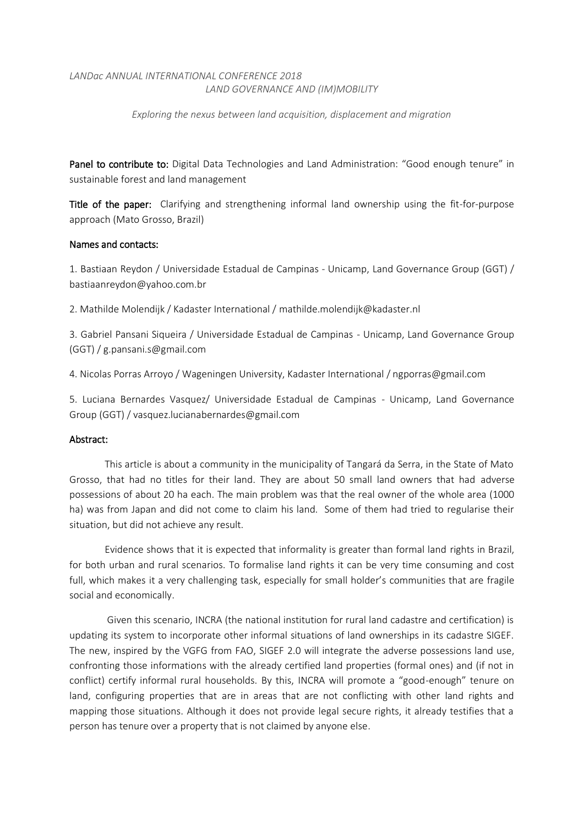## *LANDac ANNUAL INTERNATIONAL CONFERENCE 2018 LAND GOVERNANCE AND (IM)MOBILITY*

*Exploring the nexus between land acquisition, displacement and migration*

Panel to contribute to: Digital Data Technologies and Land Administration: "Good enough tenure" in sustainable forest and land management

Title of the paper: Clarifying and strengthening informal land ownership using the fit-for-purpose approach (Mato Grosso, Brazil)

## Names and contacts:

1. Bastiaan Reydon / Universidade Estadual de Campinas - Unicamp, Land Governance Group (GGT) / bastiaanreydon@yahoo.com.br

2. Mathilde Molendijk / Kadaster International / mathilde.molendijk@kadaster.nl

3. Gabriel Pansani Siqueira / Universidade Estadual de Campinas - Unicamp, Land Governance Group (GGT) / g.pansani.s@gmail.com

4. Nicolas Porras Arroyo / Wageningen University, Kadaster International / ngporras@gmail.com

5. Luciana Bernardes Vasquez/ Universidade Estadual de Campinas - Unicamp, Land Governance Group (GGT) / vasquez.lucianabernardes@gmail.com

## Abstract:

This article is about a community in the municipality of Tangará da Serra, in the State of Mato Grosso, that had no titles for their land. They are about 50 small land owners that had adverse possessions of about 20 ha each. The main problem was that the real owner of the whole area (1000 ha) was from Japan and did not come to claim his land. Some of them had tried to regularise their situation, but did not achieve any result.

Evidence shows that it is expected that informality is greater than formal land rights in Brazil, for both urban and rural scenarios. To formalise land rights it can be very time consuming and cost full, which makes it a very challenging task, especially for small holder's communities that are fragile social and economically.

Given this scenario, INCRA (the national institution for rural land cadastre and certification) is updating its system to incorporate other informal situations of land ownerships in its cadastre SIGEF. The new, inspired by the VGFG from FAO, SIGEF 2.0 will integrate the adverse possessions land use, confronting those informations with the already certified land properties (formal ones) and (if not in conflict) certify informal rural households. By this, INCRA will promote a "good-enough" tenure on land, configuring properties that are in areas that are not conflicting with other land rights and mapping those situations. Although it does not provide legal secure rights, it already testifies that a person has tenure over a property that is not claimed by anyone else.